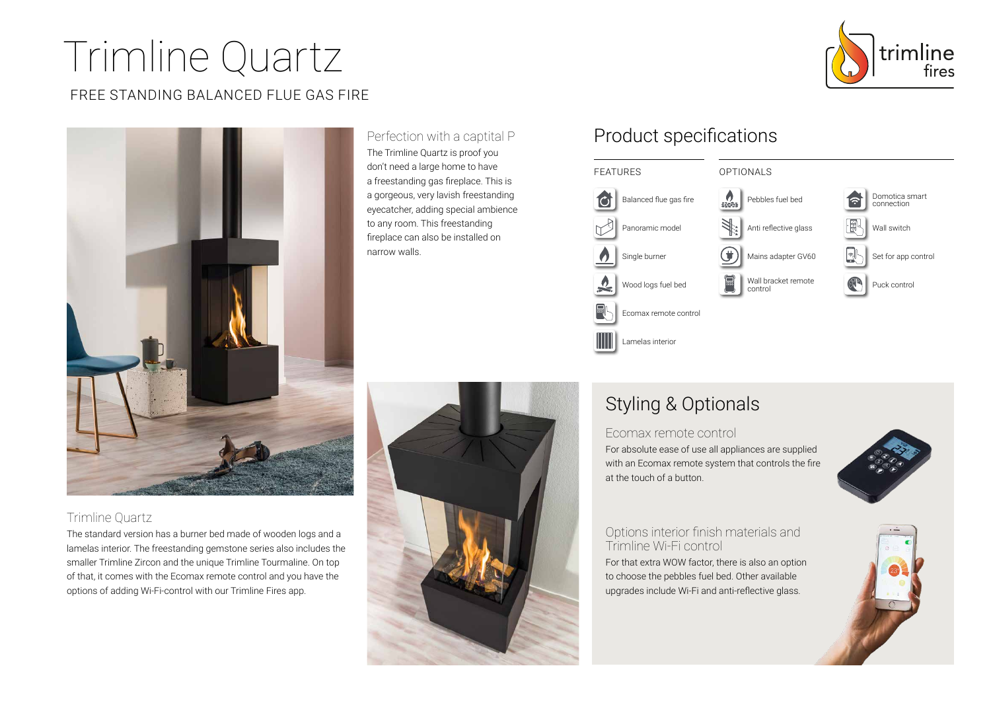# Trimline Quartz

## FREE STANDING BALANCED FLUE GAS FIRE



## Trimline Quartz

The standard version has a burner bed made of wooden logs and a lamelas interior. The freestanding gemstone series also includes the smaller Trimline Zircon and the unique Trimline Tourmaline. On top of that, it comes with the Ecomax remote control and you have the options of adding Wi-Fi-control with our Trimline Fires app.

Perfection with a captital P The Trimline Quartz is proof you don't need a large home to have a freestanding gas fireplace. This is a gorgeous, very lavish freestanding eyecatcher, adding special ambience to any room. This freestanding fireplace can also be installed on narrow walls.

## Product specifications



# Styling & Optionals

#### Ecomax remote control

For absolute ease of use all appliances are supplied with an Ecomax remote system that controls the fire at the touch of a button.



### Options interior finish materials and Trimline Wi-Fi control

For that extra WOW factor, there is also an option to choose the pebbles fuel bed. Other available upgrades include Wi-Fi and anti-reflective glass.